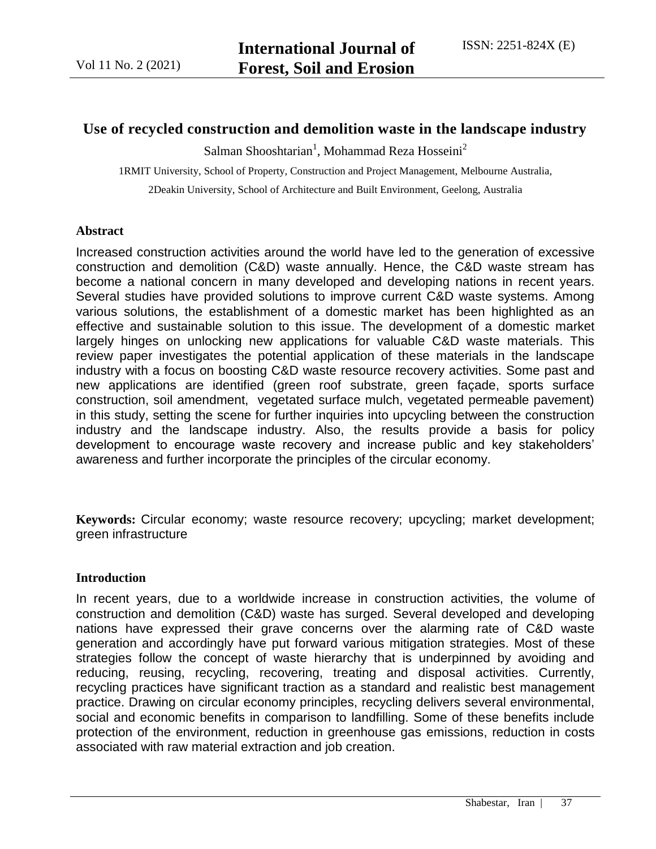# **Use of recycled construction and demolition waste in the landscape industry**

 $S$ alman Shooshtarian<sup>1</sup>, Mohammad Reza Hosseini<sup>2</sup>

1RMIT University, School of Property, Construction and Project Management, Melbourne Australia,

2Deakin University, School of Architecture and Built Environment, Geelong, Australia

#### **Abstract**

Increased construction activities around the world have led to the generation of excessive construction and demolition (C&D) waste annually. Hence, the C&D waste stream has become a national concern in many developed and developing nations in recent years. Several studies have provided solutions to improve current C&D waste systems. Among various solutions, the establishment of a domestic market has been highlighted as an effective and sustainable solution to this issue. The development of a domestic market largely hinges on unlocking new applications for valuable C&D waste materials. This review paper investigates the potential application of these materials in the landscape industry with a focus on boosting C&D waste resource recovery activities. Some past and new applications are identified (green roof substrate, green façade, sports surface construction, soil amendment, vegetated surface mulch, vegetated permeable pavement) in this study, setting the scene for further inquiries into upcycling between the construction industry and the landscape industry. Also, the results provide a basis for policy development to encourage waste recovery and increase public and key stakeholders' awareness and further incorporate the principles of the circular economy.

**Keywords:** Circular economy; waste resource recovery; upcycling; market development; green infrastructure

#### **Introduction**

In recent years, due to a worldwide increase in construction activities, the volume of construction and demolition (C&D) waste has surged. Several developed and developing nations have expressed their grave concerns over the alarming rate of C&D waste generation and accordingly have put forward various mitigation strategies. Most of these strategies follow the concept of waste hierarchy that is underpinned by avoiding and reducing, reusing, recycling, recovering, treating and disposal activities. Currently, recycling practices have significant traction as a standard and realistic best management practice. Drawing on circular economy principles, recycling delivers several environmental, social and economic benefits in comparison to landfilling. Some of these benefits include protection of the environment, reduction in greenhouse gas emissions, reduction in costs associated with raw material extraction and job creation.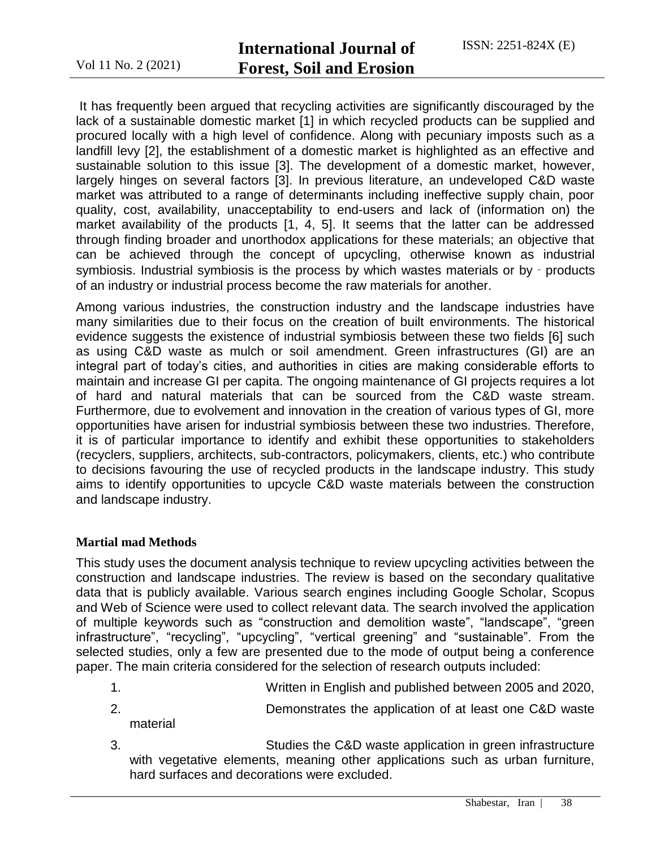It has frequently been argued that recycling activities are significantly discouraged by the lack of a sustainable domestic market [1] in which recycled products can be supplied and procured locally with a high level of confidence. Along with pecuniary imposts such as a landfill levy [2], the establishment of a domestic market is highlighted as an effective and sustainable solution to this issue [3]. The development of a domestic market, however, largely hinges on several factors [3]. In previous literature, an undeveloped C&D waste market was attributed to a range of determinants including ineffective supply chain, poor quality, cost, availability, unacceptability to end-users and lack of (information on) the market availability of the products [1, 4, 5]. It seems that the latter can be addressed through finding broader and unorthodox applications for these materials; an objective that can be achieved through the concept of upcycling, otherwise known as industrial symbiosis. Industrial symbiosis is the process by which wastes materials or by - products of an industry or industrial process become the raw materials for another.

Among various industries, the construction industry and the landscape industries have many similarities due to their focus on the creation of built environments. The historical evidence suggests the existence of industrial symbiosis between these two fields [6] such as using C&D waste as mulch or soil amendment. Green infrastructures (GI) are an integral part of today's cities, and authorities in cities are making considerable efforts to maintain and increase GI per capita. The ongoing maintenance of GI projects requires a lot of hard and natural materials that can be sourced from the C&D waste stream. Furthermore, due to evolvement and innovation in the creation of various types of GI, more opportunities have arisen for industrial symbiosis between these two industries. Therefore, it is of particular importance to identify and exhibit these opportunities to stakeholders (recyclers, suppliers, architects, sub-contractors, policymakers, clients, etc.) who contribute to decisions favouring the use of recycled products in the landscape industry. This study aims to identify opportunities to upcycle C&D waste materials between the construction and landscape industry.

#### **Martial mad Methods**

This study uses the document analysis technique to review upcycling activities between the construction and landscape industries. The review is based on the secondary qualitative data that is publicly available. Various search engines including Google Scholar, Scopus and Web of Science were used to collect relevant data. The search involved the application of multiple keywords such as "construction and demolition waste", "landscape", "green infrastructure", "recycling", "upcycling", "vertical greening" and "sustainable". From the selected studies, only a few are presented due to the mode of output being a conference paper. The main criteria considered for the selection of research outputs included:

- 1. Written in English and published between 2005 and 2020,
- 2. Demonstrates the application of at least one C&D waste material
- 3. Studies the C&D waste application in green infrastructure with vegetative elements, meaning other applications such as urban furniture, hard surfaces and decorations were excluded.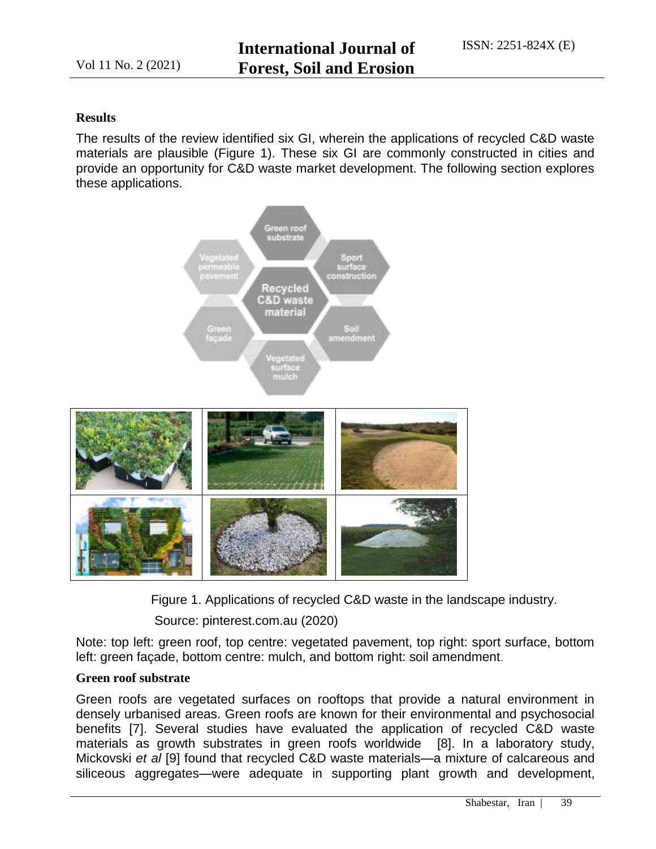## **Results**

The results of the review identified six GI, wherein the applications of recycled C&D waste materials are plausible (Figure 1). These six GI are commonly constructed in cities and provide an opportunity for C&D waste market development. The following section explores these applications.



Figure 1. Applications of recycled C&D waste in the landscape industry.

Source: pinterest.com.au (2020)

Note: top left: green roof, top centre: vegetated pavement, top right: sport surface, bottom left: green façade, bottom centre: mulch, and bottom right: soil amendment.

## **Green roof substrate**

Green roofs are vegetated surfaces on rooftops that provide a natural environment in densely urbanised areas. Green roofs are known for their environmental and psychosocial benefits [7]. Several studies have evaluated the application of recycled C&D waste materials as growth substrates in green roofs worldwide [8]. In a laboratory study, Mickovski *et al* [9] found that recycled C&D waste materials—a mixture of calcareous and siliceous aggregates—were adequate in supporting plant growth and development,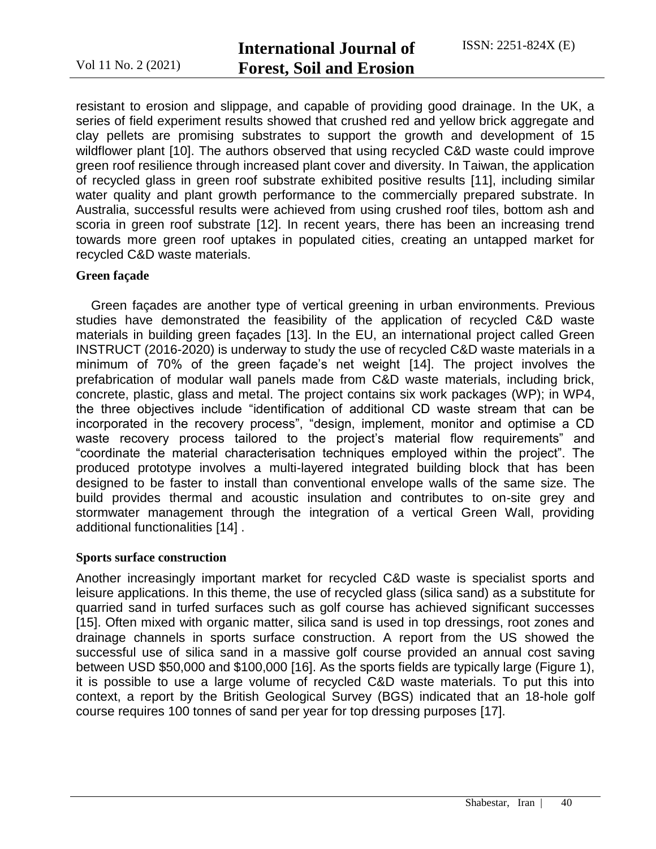resistant to erosion and slippage, and capable of providing good drainage. In the UK, a series of field experiment results showed that crushed red and yellow brick aggregate and clay pellets are promising substrates to support the growth and development of 15 wildflower plant [10]. The authors observed that using recycled C&D waste could improve green roof resilience through increased plant cover and diversity. In Taiwan, the application of recycled glass in green roof substrate exhibited positive results [11], including similar water quality and plant growth performance to the commercially prepared substrate. In Australia, successful results were achieved from using crushed roof tiles, bottom ash and scoria in green roof substrate [12]. In recent years, there has been an increasing trend towards more green roof uptakes in populated cities, creating an untapped market for recycled C&D waste materials.

#### **Green façade**

Green façades are another type of vertical greening in urban environments. Previous studies have demonstrated the feasibility of the application of recycled C&D waste materials in building green façades [13]. In the EU, an international project called Green INSTRUCT (2016-2020) is underway to study the use of recycled C&D waste materials in a minimum of 70% of the green façade's net weight [14]. The project involves the prefabrication of modular wall panels made from C&D waste materials, including brick, concrete, plastic, glass and metal. The project contains six work packages (WP); in WP4, the three objectives include "identification of additional CD waste stream that can be incorporated in the recovery process", "design, implement, monitor and optimise a CD waste recovery process tailored to the project's material flow requirements" and ―coordinate the material characterisation techniques employed within the project‖. The produced prototype involves a multi-layered integrated building block that has been designed to be faster to install than conventional envelope walls of the same size. The build provides thermal and acoustic insulation and contributes to on-site grey and stormwater management through the integration of a vertical Green Wall, providing additional functionalities [14] .

#### **Sports surface construction**

Another increasingly important market for recycled C&D waste is specialist sports and leisure applications. In this theme, the use of recycled glass (silica sand) as a substitute for quarried sand in turfed surfaces such as golf course has achieved significant successes [15]. Often mixed with organic matter, silica sand is used in top dressings, root zones and drainage channels in sports surface construction. A report from the US showed the successful use of silica sand in a massive golf course provided an annual cost saving between USD \$50,000 and \$100,000 [16]. As the sports fields are typically large (Figure 1), it is possible to use a large volume of recycled C&D waste materials. To put this into context, a report by the British Geological Survey (BGS) indicated that an 18-hole golf course requires 100 tonnes of sand per year for top dressing purposes [17].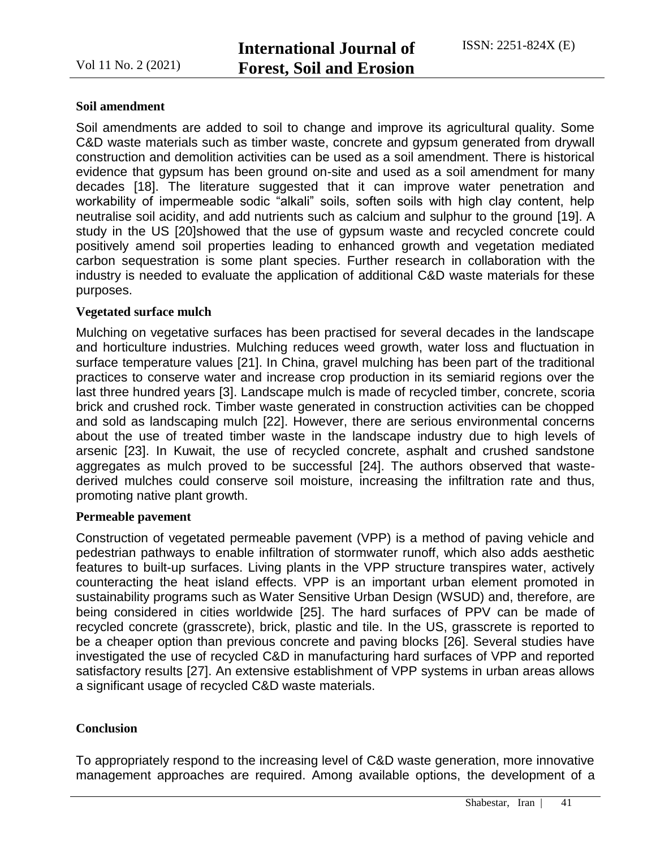### **Soil amendment**

Soil amendments are added to soil to change and improve its agricultural quality. Some C&D waste materials such as timber waste, concrete and gypsum generated from drywall construction and demolition activities can be used as a soil amendment. There is historical evidence that gypsum has been ground on-site and used as a soil amendment for many decades [18]. The literature suggested that it can improve water penetration and workability of impermeable sodic "alkali" soils, soften soils with high clay content, help neutralise soil acidity, and add nutrients such as calcium and sulphur to the ground [19]. A study in the US [20]showed that the use of gypsum waste and recycled concrete could positively amend soil properties leading to enhanced growth and vegetation mediated carbon sequestration is some plant species. Further research in collaboration with the industry is needed to evaluate the application of additional C&D waste materials for these purposes.

## **Vegetated surface mulch**

Mulching on vegetative surfaces has been practised for several decades in the landscape and horticulture industries. Mulching reduces weed growth, water loss and fluctuation in surface temperature values [21]. In China, gravel mulching has been part of the traditional practices to conserve water and increase crop production in its semiarid regions over the last three hundred years [3]. Landscape mulch is made of recycled timber, concrete, scoria brick and crushed rock. Timber waste generated in construction activities can be chopped and sold as landscaping mulch [22]. However, there are serious environmental concerns about the use of treated timber waste in the landscape industry due to high levels of arsenic [23]. In Kuwait, the use of recycled concrete, asphalt and crushed sandstone aggregates as mulch proved to be successful [24]. The authors observed that wastederived mulches could conserve soil moisture, increasing the infiltration rate and thus, promoting native plant growth.

#### **Permeable pavement**

Construction of vegetated permeable pavement (VPP) is a method of paving vehicle and pedestrian pathways to enable infiltration of stormwater runoff, which also adds aesthetic features to built-up surfaces. Living plants in the VPP structure transpires water, actively counteracting the heat island effects. VPP is an important urban element promoted in sustainability programs such as Water Sensitive Urban Design (WSUD) and, therefore, are being considered in cities worldwide [25]. The hard surfaces of PPV can be made of recycled concrete (grasscrete), brick, plastic and tile. In the US, grasscrete is reported to be a cheaper option than previous concrete and paving blocks [26]. Several studies have investigated the use of recycled C&D in manufacturing hard surfaces of VPP and reported satisfactory results [27]. An extensive establishment of VPP systems in urban areas allows a significant usage of recycled C&D waste materials.

## **Conclusion**

To appropriately respond to the increasing level of C&D waste generation, more innovative management approaches are required. Among available options, the development of a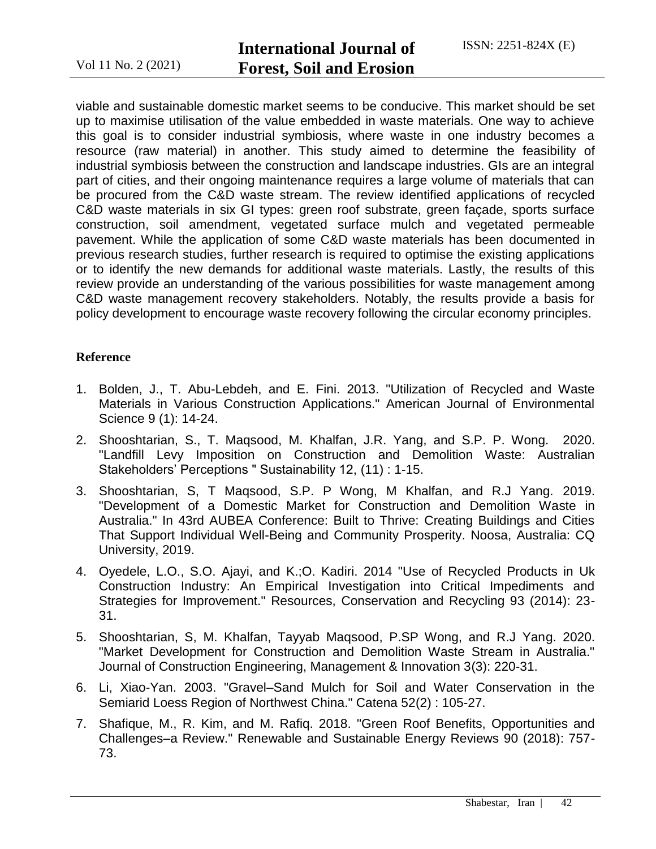viable and sustainable domestic market seems to be conducive. This market should be set up to maximise utilisation of the value embedded in waste materials. One way to achieve this goal is to consider industrial symbiosis, where waste in one industry becomes a resource (raw material) in another. This study aimed to determine the feasibility of industrial symbiosis between the construction and landscape industries. GIs are an integral part of cities, and their ongoing maintenance requires a large volume of materials that can be procured from the C&D waste stream. The review identified applications of recycled C&D waste materials in six GI types: green roof substrate, green façade, sports surface construction, soil amendment, vegetated surface mulch and vegetated permeable pavement. While the application of some C&D waste materials has been documented in previous research studies, further research is required to optimise the existing applications or to identify the new demands for additional waste materials. Lastly, the results of this review provide an understanding of the various possibilities for waste management among C&D waste management recovery stakeholders. Notably, the results provide a basis for policy development to encourage waste recovery following the circular economy principles.

## **Reference**

- 1. Bolden, J., T. Abu-Lebdeh, and E. Fini. 2013. "Utilization of Recycled and Waste Materials in Various Construction Applications." American Journal of Environmental Science 9 (1): 14-24.
- 2. Shooshtarian, S., T. Maqsood, M. Khalfan, J.R. Yang, and S.P. P. Wong. 2020. "Landfill Levy Imposition on Construction and Demolition Waste: Australian Stakeholders' Perceptions " Sustainability 12, (11) : 1-15.
- 3. Shooshtarian, S, T Maqsood, S.P. P Wong, M Khalfan, and R.J Yang. 2019. "Development of a Domestic Market for Construction and Demolition Waste in Australia." In 43rd AUBEA Conference: Built to Thrive: Creating Buildings and Cities That Support Individual Well-Being and Community Prosperity. Noosa, Australia: CQ University, 2019.
- 4. Oyedele, L.O., S.O. Ajayi, and K.;O. Kadiri. 2014 "Use of Recycled Products in Uk Construction Industry: An Empirical Investigation into Critical Impediments and Strategies for Improvement." Resources, Conservation and Recycling 93 (2014): 23- 31.
- 5. Shooshtarian, S, M. Khalfan, Tayyab Maqsood, P.SP Wong, and R.J Yang. 2020. "Market Development for Construction and Demolition Waste Stream in Australia." Journal of Construction Engineering, Management & Innovation 3(3): 220-31.
- 6. Li, Xiao-Yan. 2003. "Gravel–Sand Mulch for Soil and Water Conservation in the Semiarid Loess Region of Northwest China." Catena 52(2) : 105-27.
- 7. Shafique, M., R. Kim, and M. Rafiq. 2018. "Green Roof Benefits, Opportunities and Challenges–a Review." Renewable and Sustainable Energy Reviews 90 (2018): 757- 73.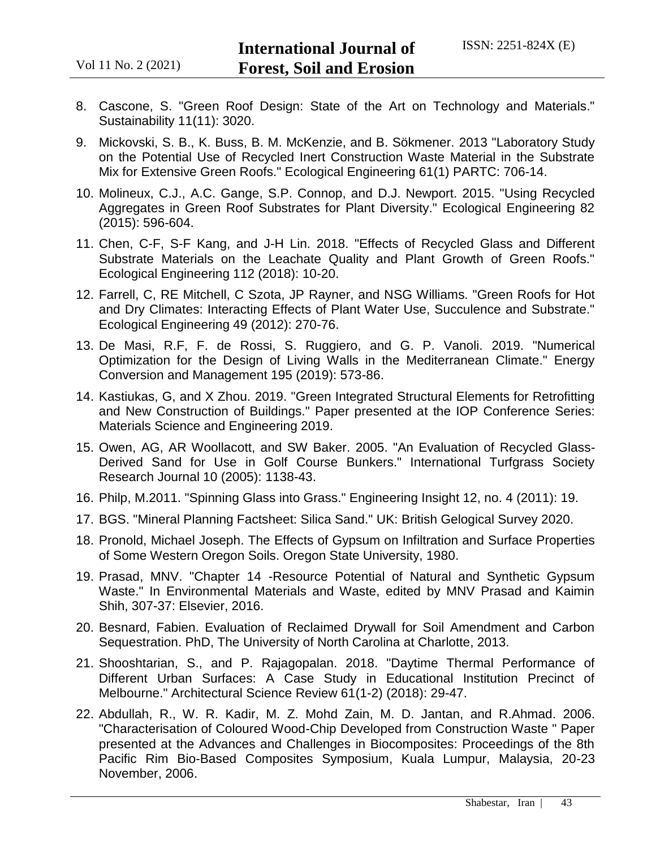- 8. Cascone, S. "Green Roof Design: State of the Art on Technology and Materials." Sustainability 11(11): 3020.
- 9. Mickovski, S. B., K. Buss, B. M. McKenzie, and B. Sökmener. 2013 "Laboratory Study on the Potential Use of Recycled Inert Construction Waste Material in the Substrate Mix for Extensive Green Roofs." Ecological Engineering 61(1) PARTC: 706-14.
- 10. Molineux, C.J., A.C. Gange, S.P. Connop, and D.J. Newport. 2015. "Using Recycled Aggregates in Green Roof Substrates for Plant Diversity." Ecological Engineering 82 (2015): 596-604.
- 11. Chen, C-F, S-F Kang, and J-H Lin. 2018. "Effects of Recycled Glass and Different Substrate Materials on the Leachate Quality and Plant Growth of Green Roofs." Ecological Engineering 112 (2018): 10-20.
- 12. Farrell, C, RE Mitchell, C Szota, JP Rayner, and NSG Williams. "Green Roofs for Hot and Dry Climates: Interacting Effects of Plant Water Use, Succulence and Substrate." Ecological Engineering 49 (2012): 270-76.
- 13. De Masi, R.F, F. de Rossi, S. Ruggiero, and G. P. Vanoli. 2019. "Numerical Optimization for the Design of Living Walls in the Mediterranean Climate." Energy Conversion and Management 195 (2019): 573-86.
- 14. Kastiukas, G, and X Zhou. 2019. "Green Integrated Structural Elements for Retrofitting and New Construction of Buildings." Paper presented at the IOP Conference Series: Materials Science and Engineering 2019.
- 15. Owen, AG, AR Woollacott, and SW Baker. 2005. "An Evaluation of Recycled Glass-Derived Sand for Use in Golf Course Bunkers." International Turfgrass Society Research Journal 10 (2005): 1138-43.
- 16. Philp, M.2011. "Spinning Glass into Grass." Engineering Insight 12, no. 4 (2011): 19.
- 17. BGS. "Mineral Planning Factsheet: Silica Sand." UK: British Gelogical Survey 2020.
- 18. Pronold, Michael Joseph. The Effects of Gypsum on Infiltration and Surface Properties of Some Western Oregon Soils. Oregon State University, 1980.
- 19. Prasad, MNV. "Chapter 14 -Resource Potential of Natural and Synthetic Gypsum Waste." In Environmental Materials and Waste, edited by MNV Prasad and Kaimin Shih, 307-37: Elsevier, 2016.
- 20. Besnard, Fabien. Evaluation of Reclaimed Drywall for Soil Amendment and Carbon Sequestration. PhD, The University of North Carolina at Charlotte, 2013.
- 21. Shooshtarian, S., and P. Rajagopalan. 2018. "Daytime Thermal Performance of Different Urban Surfaces: A Case Study in Educational Institution Precinct of Melbourne." Architectural Science Review 61(1-2) (2018): 29-47.
- 22. Abdullah, R., W. R. Kadir, M. Z. Mohd Zain, M. D. Jantan, and R.Ahmad. 2006. "Characterisation of Coloured Wood-Chip Developed from Construction Waste " Paper presented at the Advances and Challenges in Biocomposites: Proceedings of the 8th Pacific Rim Bio-Based Composites Symposium, Kuala Lumpur, Malaysia, 20-23 November, 2006.